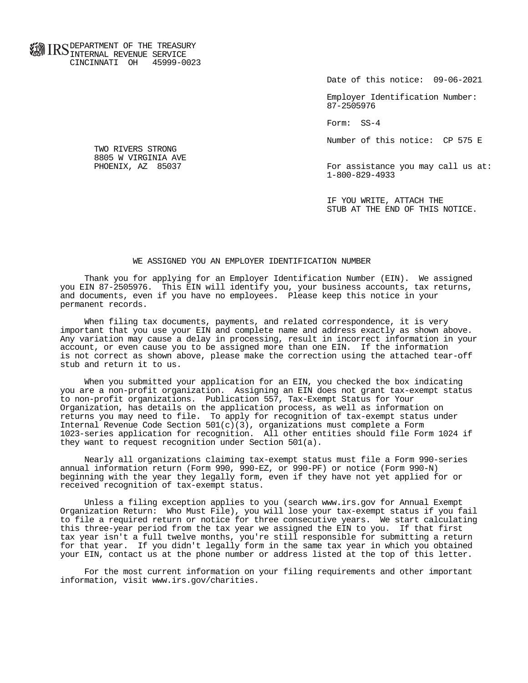**FOR ID C** DEPARTMENT OF THE TREASURY **WWW IIND** INTERNAL REVENUE SERVICE CINCINNATI OH 45999-0023

Date of this notice: 09-06-2021

 Employer Identification Number: 87-2505976

Form: SS-4

Number of this notice: CP 575 E

For assistance you may call us at: 1-800-829-4933

 IF YOU WRITE, ATTACH THE STUB AT THE END OF THIS NOTICE.

## WE ASSIGNED YOU AN EMPLOYER IDENTIFICATION NUMBER

 Thank you for applying for an Employer Identification Number (EIN). We assigned you EIN 87-2505976. This EIN will identify you, your business accounts, tax returns, and documents, even if you have no employees. Please keep this notice in your permanent records.

 When filing tax documents, payments, and related correspondence, it is very important that you use your EIN and complete name and address exactly as shown above. Any variation may cause a delay in processing, result in incorrect information in your account, or even cause you to be assigned more than one EIN. If the information is not correct as shown above, please make the correction using the attached tear-off stub and return it to us.

 When you submitted your application for an EIN, you checked the box indicating you are a non-profit organization. Assigning an EIN does not grant tax-exempt status to non-profit organizations. Publication 557, Tax-Exempt Status for Your Organization, has details on the application process, as well as information on returns you may need to file. To apply for recognition of tax-exempt status under Internal Revenue Code Section  $501(c)(3)$ , organizations must complete a Form 1023-series application for recognition. All other entities should file Form 1024 if they want to request recognition under Section 501(a).

 Nearly all organizations claiming tax-exempt status must file a Form 990-series annual information return (Form 990, 990-EZ, or 990-PF) or notice (Form 990-N) beginning with the year they legally form, even if they have not yet applied for or received recognition of tax-exempt status.

 Unless a filing exception applies to you (search www.irs.gov for Annual Exempt Organization Return: Who Must File), you will lose your tax-exempt status if you fail to file a required return or notice for three consecutive years. We start calculating this three-year period from the tax year we assigned the EIN to you. If that first tax year isn't a full twelve months, you're still responsible for submitting a return for that year. If you didn't legally form in the same tax year in which you obtained your EIN, contact us at the phone number or address listed at the top of this letter.

 For the most current information on your filing requirements and other important information, visit www.irs.gov/charities.

 TWO RIVERS STRONG 8805 W VIRGINIA AVE<br>PHOENIX, AZ 85037